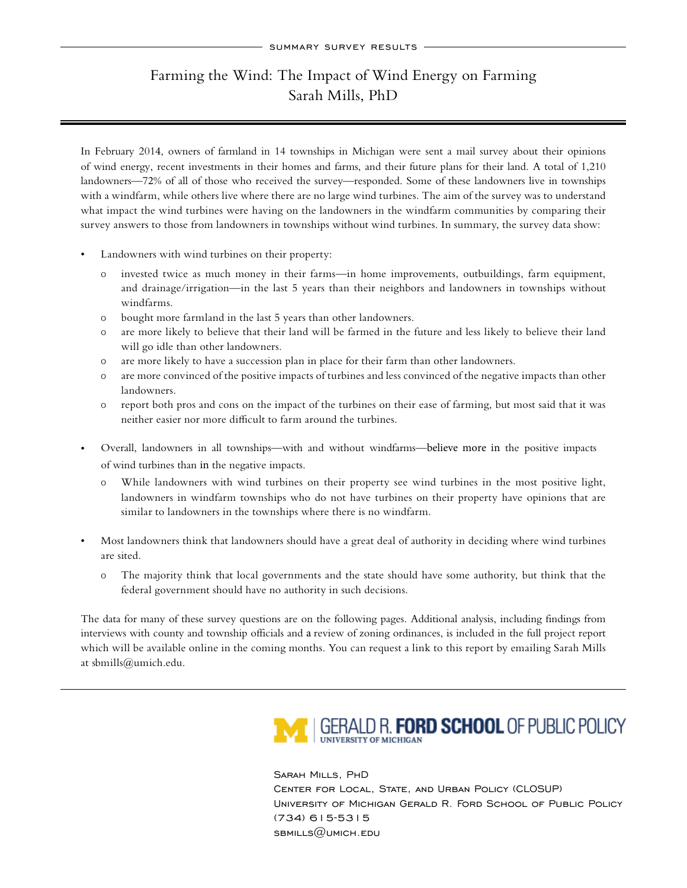## Farming the Wind: The Impact of Wind Energy on Farming Sarah Mills, PhD

In February 2014, owners of farmland in 14 townships in Michigan were sent a mail survey about their opinions of wind energy, recent investments in their homes and farms, and their future plans for their land. A total of 1,210 landowners—72% of all of those who received the survey—responded. Some of these landowners live in townships with a windfarm, while others live where there are no large wind turbines. The aim of the survey was to understand what impact the wind turbines were having on the landowners in the windfarm communities by comparing their survey answers to those from landowners in townships without wind turbines. In summary, the survey data show:

- Landowners with wind turbines on their property:
	- invested twice as much money in their farms—in home improvements, outbuildings, farm equipment, and drainage/irrigation—in the last 5 years than their neighbors and landowners in townships without windfarms.
	- ƅ bought more farmland in the last 5 years than other landowners.
	- ƅ are more likely to believe that their land will be farmed in the future and less likely to believe their land will go idle than other landowners.
	- ƅ are more likely to have a succession plan in place for their farm than other landowners.
	- ƅ are more convinced of the positive impacts of turbines and less convinced of the negative impacts than other landowners.
	- ƅ report both pros and cons on the impact of the turbines on their ease of farming, but most said that it was neither easier nor more difficult to farm around the turbines.
- Overall, landowners in all townships—with and without windfarms—believe more in the positive impacts of wind turbines than in the negative impacts.
	- ƅ While landowners with wind turbines on their property see wind turbines in the most positive light, landowners in windfarm townships who do not have turbines on their property have opinions that are similar to landowners in the townships where there is no windfarm.
- Most landowners think that landowners should have a great deal of authority in deciding where wind turbines are sited.
	- ƅ The majority think that local governments and the state should have some authority, but think that the federal government should have no authority in such decisions.

The data for many of these survey questions are on the following pages. Additional analysis, including findings from interviews with county and township officials and a review of zoning ordinances, is included in the full project report which will be available online in the coming months. You can request a link to this report by emailing Sarah Mills at sbmills@umich.edu.



Sarah Mills, PhD Center for Local, State, and Urban Policy (CLOSUP) University of Michigan Gerald R. Ford School of Public Policy (734) 615-5315 sbmills@umich.edu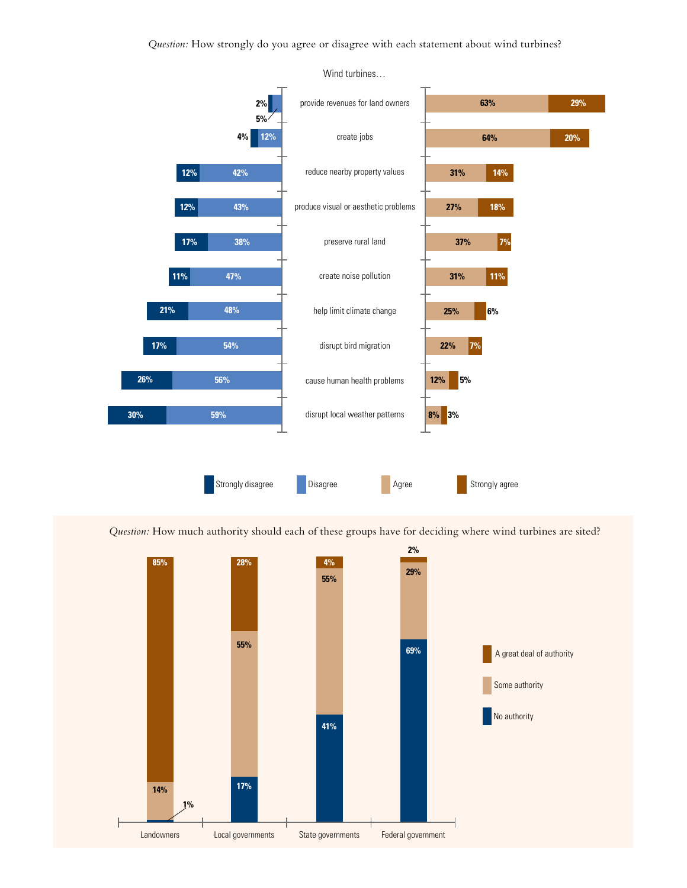*Question:* How strongly do you agree or disagree with each statement about wind turbines?



*Question:* How much authority should each of these groups have for deciding where wind turbines are sited?



Wind turbines…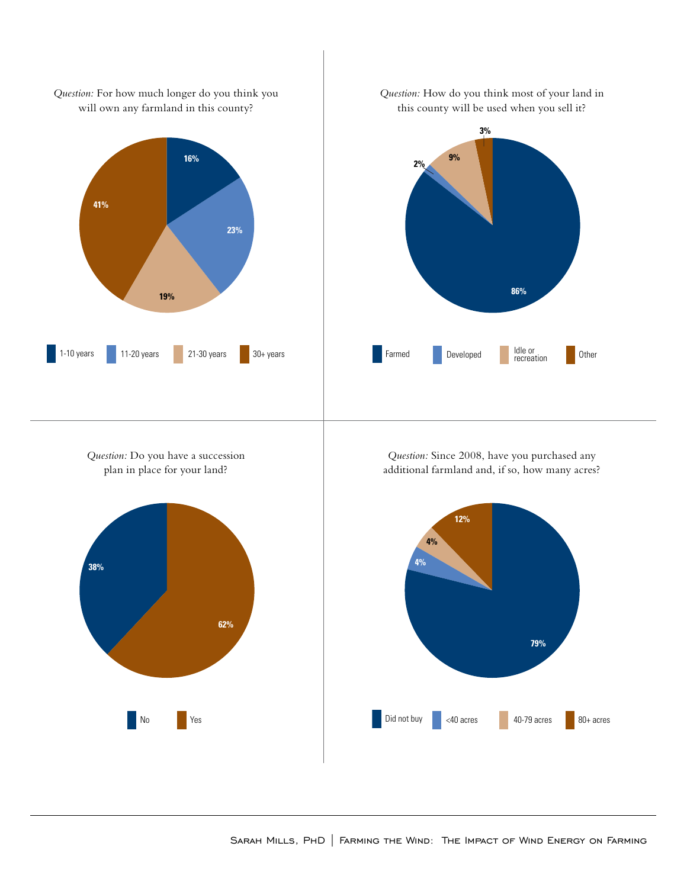

*Question:* Do you have a succession plan in place for your land?







*Question:* Since 2008, have you purchased any additional farmland and, if so, how many acres?